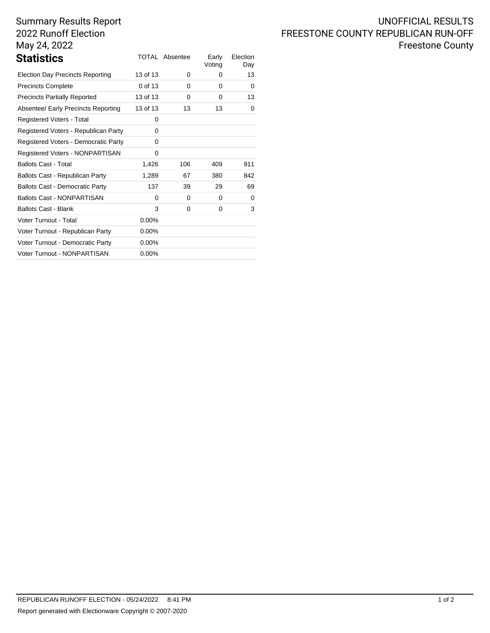# Summary Results Report 2022 Runoff Election May 24, 2022

|          |     | Early<br>Voting       | Election<br>Day |
|----------|-----|-----------------------|-----------------|
| 13 of 13 | 0   | 0                     | 13              |
| 0 of 13  | 0   | 0                     | 0               |
| 13 of 13 | 0   | 0                     | 13              |
| 13 of 13 | 13  | 13                    | 0               |
| 0        |     |                       |                 |
| 0        |     |                       |                 |
| 0        |     |                       |                 |
| 0        |     |                       |                 |
| 1,426    | 106 | 409                   | 911             |
| 1,289    | 67  | 380                   | 842             |
| 137      | 39  | 29                    | 69              |
| $\Omega$ | 0   | 0                     | 0               |
| 3        | 0   | 0                     | 3               |
| 0.00%    |     |                       |                 |
| $0.00\%$ |     |                       |                 |
| $0.00\%$ |     |                       |                 |
| $0.00\%$ |     |                       |                 |
|          |     | <b>TOTAL Absentee</b> |                 |

### UNOFFICIAL RESULTS FREESTONE COUNTY REPUBLICAN RUN-OFF Freestone County